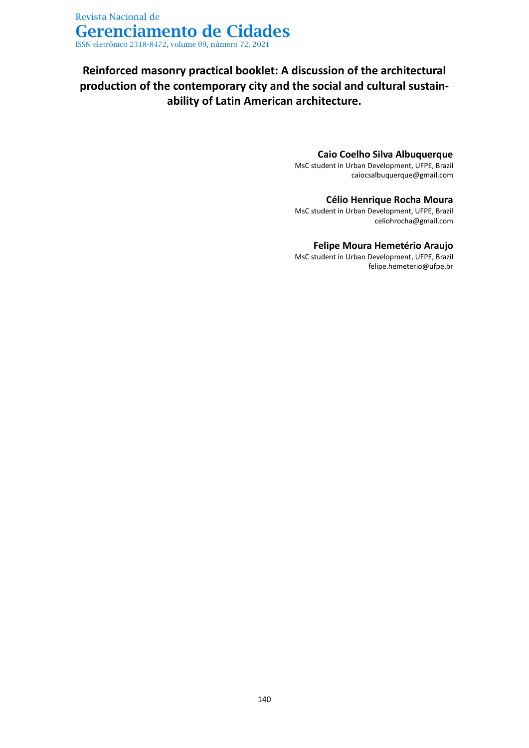# **Reinforced masonry practical booklet: A discussion of the architectural production of the contemporary city and the social and cultural sustainability of Latin American architecture.**

### **Caio Coelho Silva Albuquerque**

MsC student in Urban Development, UFPE, Brazil [caiocsalbuquerque@gmail.com](mailto:caiocsalbuquerque@gmail.com)

### **Célio Henrique Rocha Moura**

MsC student in Urban Development, UFPE, Brazil celiohrocha@gmail.com

### **Felipe Moura Hemetério Araujo**

MsC student in Urban Development, UFPE, Brazil felipe.hemeterio@ufpe.br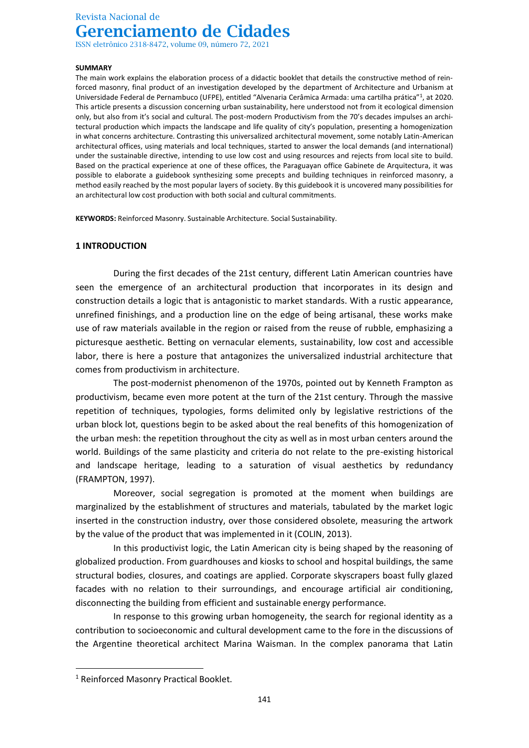ISSN eletrônico 2318-8472, volume 09, número 72, 2021

#### **SUMMARY**

The main work explains the elaboration process of a didactic booklet that details the constructive method of reinforced masonry, final product of an investigation developed by the department of Architecture and Urbanism at Universidade Federal de Pernambuco (UFPE), entitled "Alvenaria Cerâmica Armada: uma cartilha prática"<sup>1</sup>, at 2020. This article presents a discussion concerning urban sustainability, here understood not from it ecological dimension only, but also from it's social and cultural. The post-modern Productivism from the 70's decades impulses an architectural production which impacts the landscape and life quality of city's population, presenting a homogenization in what concerns architecture. Contrasting this universalized architectural movement, some notably Latin-American architectural offices, using materials and local techniques, started to answer the local demands (and international) under the sustainable directive, intending to use low cost and using resources and rejects from local site to build. Based on the practical experience at one of these offices, the Paraguayan office Gabinete de Arquitectura, it was possible to elaborate a guidebook synthesizing some precepts and building techniques in reinforced masonry, a method easily reached by the most popular layers of society. By this guidebook it is uncovered many possibilities for an architectural low cost production with both social and cultural commitments.

**KEYWORDS:** Reinforced Masonry. Sustainable Architecture. Social Sustainability.

### **1 INTRODUCTION**

During the first decades of the 21st century, different Latin American countries have seen the emergence of an architectural production that incorporates in its design and construction details a logic that is antagonistic to market standards. With a rustic appearance, unrefined finishings, and a production line on the edge of being artisanal, these works make use of raw materials available in the region or raised from the reuse of rubble, emphasizing a picturesque aesthetic. Betting on vernacular elements, sustainability, low cost and accessible labor, there is here a posture that antagonizes the universalized industrial architecture that comes from productivism in architecture.

The post-modernist phenomenon of the 1970s, pointed out by Kenneth Frampton as productivism, became even more potent at the turn of the 21st century. Through the massive repetition of techniques, typologies, forms delimited only by legislative restrictions of the urban block lot, questions begin to be asked about the real benefits of this homogenization of the urban mesh: the repetition throughout the city as well as in most urban centers around the world. Buildings of the same plasticity and criteria do not relate to the pre-existing historical and landscape heritage, leading to a saturation of visual aesthetics by redundancy (FRAMPTON, 1997).

Moreover, social segregation is promoted at the moment when buildings are marginalized by the establishment of structures and materials, tabulated by the market logic inserted in the construction industry, over those considered obsolete, measuring the artwork by the value of the product that was implemented in it (COLIN, 2013).

In this productivist logic, the Latin American city is being shaped by the reasoning of globalized production. From guardhouses and kiosks to school and hospital buildings, the same structural bodies, closures, and coatings are applied. Corporate skyscrapers boast fully glazed facades with no relation to their surroundings, and encourage artificial air conditioning, disconnecting the building from efficient and sustainable energy performance.

In response to this growing urban homogeneity, the search for regional identity as a contribution to socioeconomic and cultural development came to the fore in the discussions of the Argentine theoretical architect Marina Waisman. In the complex panorama that Latin

<sup>&</sup>lt;sup>1</sup> Reinforced Masonry Practical Booklet.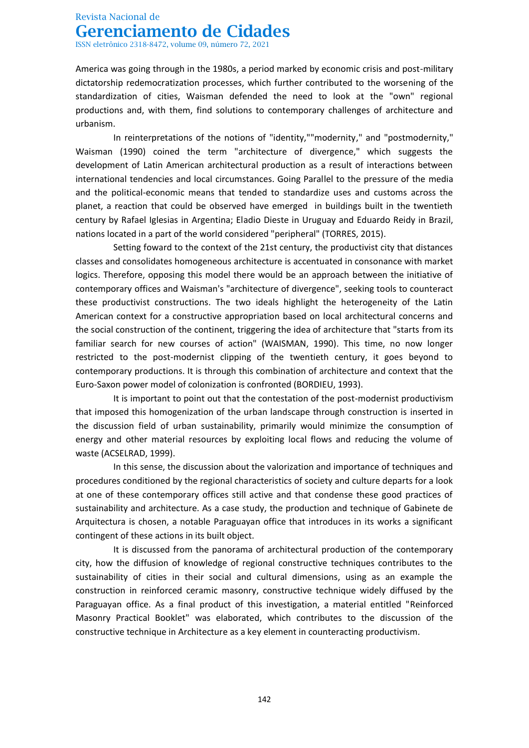ISSN eletrônico 2318-8472, volume 09, número 72, 2021

America was going through in the 1980s, a period marked by economic crisis and post-military dictatorship redemocratization processes, which further contributed to the worsening of the standardization of cities, Waisman defended the need to look at the "own" regional productions and, with them, find solutions to contemporary challenges of architecture and urbanism.

In reinterpretations of the notions of "identity,""modernity," and "postmodernity," Waisman (1990) coined the term "architecture of divergence," which suggests the development of Latin American architectural production as a result of interactions between international tendencies and local circumstances. Going Parallel to the pressure of the media and the political-economic means that tended to standardize uses and customs across the planet, a reaction that could be observed have emerged in buildings built in the twentieth century by Rafael Iglesias in Argentina; Eladio Dieste in Uruguay and Eduardo Reidy in Brazil, nations located in a part of the world considered "peripheral" (TORRES, 2015).

Setting foward to the context of the 21st century, the productivist city that distances classes and consolidates homogeneous architecture is accentuated in consonance with market logics. Therefore, opposing this model there would be an approach between the initiative of contemporary offices and Waisman's "architecture of divergence", seeking tools to counteract these productivist constructions. The two ideals highlight the heterogeneity of the Latin American context for a constructive appropriation based on local architectural concerns and the social construction of the continent, triggering the idea of architecture that "starts from its familiar search for new courses of action" (WAISMAN, 1990). This time, no now longer restricted to the post-modernist clipping of the twentieth century, it goes beyond to contemporary productions. It is through this combination of architecture and context that the Euro-Saxon power model of colonization is confronted (BORDIEU, 1993).

It is important to point out that the contestation of the post-modernist productivism that imposed this homogenization of the urban landscape through construction is inserted in the discussion field of urban sustainability, primarily would minimize the consumption of energy and other material resources by exploiting local flows and reducing the volume of waste (ACSELRAD, 1999).

In this sense, the discussion about the valorization and importance of techniques and procedures conditioned by the regional characteristics of society and culture departs for a look at one of these contemporary offices still active and that condense these good practices of sustainability and architecture. As a case study, the production and technique of Gabinete de Arquitectura is chosen, a notable Paraguayan office that introduces in its works a significant contingent of these actions in its built object.

It is discussed from the panorama of architectural production of the contemporary city, how the diffusion of knowledge of regional constructive techniques contributes to the sustainability of cities in their social and cultural dimensions, using as an example the construction in reinforced ceramic masonry, constructive technique widely diffused by the Paraguayan office. As a final product of this investigation, a material entitled "Reinforced Masonry Practical Booklet" was elaborated, which contributes to the discussion of the constructive technique in Architecture as a key element in counteracting productivism.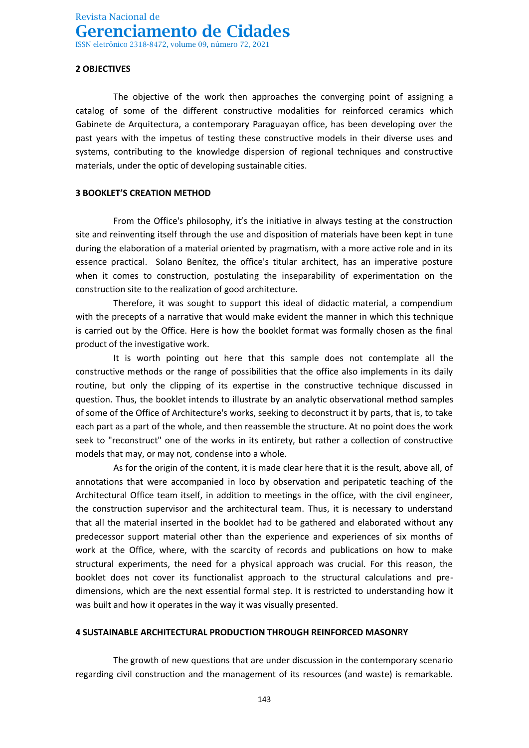### **2 OBJECTIVES**

The objective of the work then approaches the converging point of assigning a catalog of some of the different constructive modalities for reinforced ceramics which Gabinete de Arquitectura, a contemporary Paraguayan office, has been developing over the past years with the impetus of testing these constructive models in their diverse uses and systems, contributing to the knowledge dispersion of regional techniques and constructive materials, under the optic of developing sustainable cities.

### **3 BOOKLET'S CREATION METHOD**

From the Office's philosophy, it's the initiative in always testing at the construction site and reinventing itself through the use and disposition of materials have been kept in tune during the elaboration of a material oriented by pragmatism, with a more active role and in its essence practical. Solano Benítez, the office's titular architect, has an imperative posture when it comes to construction, postulating the inseparability of experimentation on the construction site to the realization of good architecture.

Therefore, it was sought to support this ideal of didactic material, a compendium with the precepts of a narrative that would make evident the manner in which this technique is carried out by the Office. Here is how the booklet format was formally chosen as the final product of the investigative work.

It is worth pointing out here that this sample does not contemplate all the constructive methods or the range of possibilities that the office also implements in its daily routine, but only the clipping of its expertise in the constructive technique discussed in question. Thus, the booklet intends to illustrate by an analytic observational method samples of some of the Office of Architecture's works, seeking to deconstruct it by parts, that is, to take each part as a part of the whole, and then reassemble the structure. At no point does the work seek to "reconstruct" one of the works in its entirety, but rather a collection of constructive models that may, or may not, condense into a whole.

As for the origin of the content, it is made clear here that it is the result, above all, of annotations that were accompanied in loco by observation and peripatetic teaching of the Architectural Office team itself, in addition to meetings in the office, with the civil engineer, the construction supervisor and the architectural team. Thus, it is necessary to understand that all the material inserted in the booklet had to be gathered and elaborated without any predecessor support material other than the experience and experiences of six months of work at the Office, where, with the scarcity of records and publications on how to make structural experiments, the need for a physical approach was crucial. For this reason, the booklet does not cover its functionalist approach to the structural calculations and predimensions, which are the next essential formal step. It is restricted to understanding how it was built and how it operates in the way it was visually presented.

### **4 SUSTAINABLE ARCHITECTURAL PRODUCTION THROUGH REINFORCED MASONRY**

The growth of new questions that are under discussion in the contemporary scenario regarding civil construction and the management of its resources (and waste) is remarkable.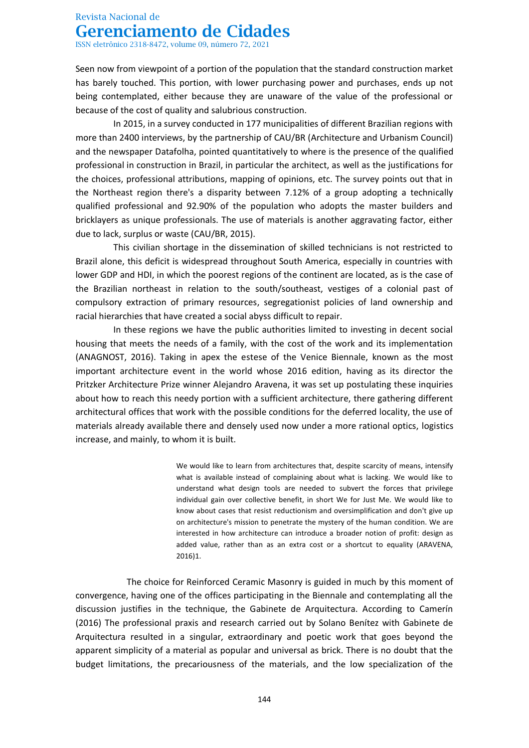ISSN eletrônico 2318-8472, volume 09, número 72, 2021

Seen now from viewpoint of a portion of the population that the standard construction market has barely touched. This portion, with lower purchasing power and purchases, ends up not being contemplated, either because they are unaware of the value of the professional or because of the cost of quality and salubrious construction.

In 2015, in a survey conducted in 177 municipalities of different Brazilian regions with more than 2400 interviews, by the partnership of CAU/BR (Architecture and Urbanism Council) and the newspaper Datafolha, pointed quantitatively to where is the presence of the qualified professional in construction in Brazil, in particular the architect, as well as the justifications for the choices, professional attributions, mapping of opinions, etc. The survey points out that in the Northeast region there's a disparity between 7.12% of a group adopting a technically qualified professional and 92.90% of the population who adopts the master builders and bricklayers as unique professionals. The use of materials is another aggravating factor, either due to lack, surplus or waste (CAU/BR, 2015).

This civilian shortage in the dissemination of skilled technicians is not restricted to Brazil alone, this deficit is widespread throughout South America, especially in countries with lower GDP and HDI, in which the poorest regions of the continent are located, as is the case of the Brazilian northeast in relation to the south/southeast, vestiges of a colonial past of compulsory extraction of primary resources, segregationist policies of land ownership and racial hierarchies that have created a social abyss difficult to repair.

In these regions we have the public authorities limited to investing in decent social housing that meets the needs of a family, with the cost of the work and its implementation (ANAGNOST, 2016). Taking in apex the estese of the Venice Biennale, known as the most important architecture event in the world whose 2016 edition, having as its director the Pritzker Architecture Prize winner Alejandro Aravena, it was set up postulating these inquiries about how to reach this needy portion with a sufficient architecture, there gathering different architectural offices that work with the possible conditions for the deferred locality, the use of materials already available there and densely used now under a more rational optics, logistics increase, and mainly, to whom it is built.

> We would like to learn from architectures that, despite scarcity of means, intensify what is available instead of complaining about what is lacking. We would like to understand what design tools are needed to subvert the forces that privilege individual gain over collective benefit, in short We for Just Me. We would like to know about cases that resist reductionism and oversimplification and don't give up on architecture's mission to penetrate the mystery of the human condition. We are interested in how architecture can introduce a broader notion of profit: design as added value, rather than as an extra cost or a shortcut to equality (ARAVENA, 2016)1.

The choice for Reinforced Ceramic Masonry is guided in much by this moment of convergence, having one of the offices participating in the Biennale and contemplating all the discussion justifies in the technique, the Gabinete de Arquitectura. According to Camerín (2016) The professional praxis and research carried out by Solano Benítez with Gabinete de Arquitectura resulted in a singular, extraordinary and poetic work that goes beyond the apparent simplicity of a material as popular and universal as brick. There is no doubt that the budget limitations, the precariousness of the materials, and the low specialization of the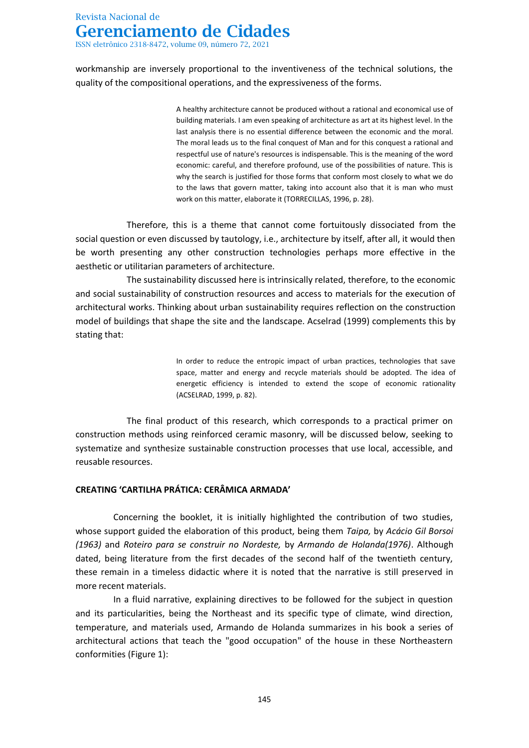ISSN eletrônico 2318-8472, volume 09, número 72, 2021

workmanship are inversely proportional to the inventiveness of the technical solutions, the quality of the compositional operations, and the expressiveness of the forms.

> A healthy architecture cannot be produced without a rational and economical use of building materials. I am even speaking of architecture as art at its highest level. In the last analysis there is no essential difference between the economic and the moral. The moral leads us to the final conquest of Man and for this conquest a rational and respectful use of nature's resources is indispensable. This is the meaning of the word economic: careful, and therefore profound, use of the possibilities of nature. This is why the search is justified for those forms that conform most closely to what we do to the laws that govern matter, taking into account also that it is man who must work on this matter, elaborate it (TORRECILLAS, 1996, p. 28).

Therefore, this is a theme that cannot come fortuitously dissociated from the social question or even discussed by tautology, i.e., architecture by itself, after all, it would then be worth presenting any other construction technologies perhaps more effective in the aesthetic or utilitarian parameters of architecture.

The sustainability discussed here is intrinsically related, therefore, to the economic and social sustainability of construction resources and access to materials for the execution of architectural works. Thinking about urban sustainability requires reflection on the construction model of buildings that shape the site and the landscape. Acselrad (1999) complements this by stating that:

> In order to reduce the entropic impact of urban practices, technologies that save space, matter and energy and recycle materials should be adopted. The idea of energetic efficiency is intended to extend the scope of economic rationality (ACSELRAD, 1999, p. 82).

The final product of this research, which corresponds to a practical primer on construction methods using reinforced ceramic masonry, will be discussed below, seeking to systematize and synthesize sustainable construction processes that use local, accessible, and reusable resources.

### **CREATING 'CARTILHA PRÁTICA: CERÂMICA ARMADA'**

Concerning the booklet, it is initially highlighted the contribution of two studies, whose support guided the elaboration of this product, being them *Taipa,* by *Acácio Gil Borsoi (1963)* and *Roteiro para se construir no Nordeste,* by *Armando de Holanda(1976)*. Although dated, being literature from the first decades of the second half of the twentieth century, these remain in a timeless didactic where it is noted that the narrative is still preserved in more recent materials.

In a fluid narrative, explaining directives to be followed for the subject in question and its particularities, being the Northeast and its specific type of climate, wind direction, temperature, and materials used, Armando de Holanda summarizes in his book a series of architectural actions that teach the "good occupation" of the house in these Northeastern conformities (Figure 1):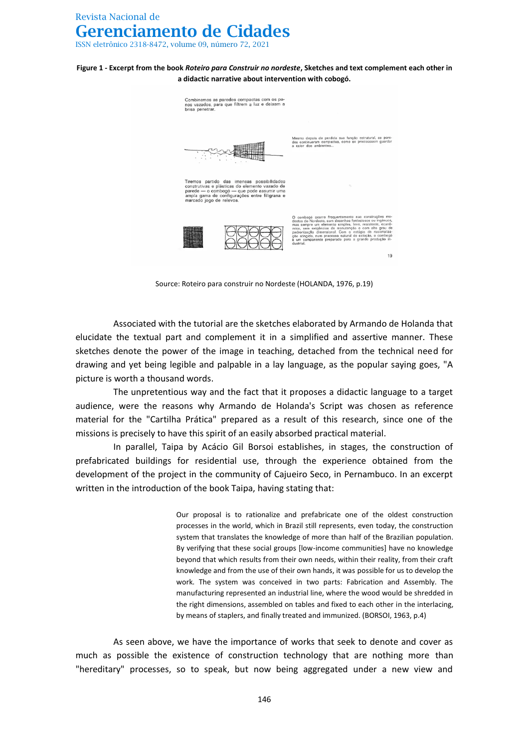**Figure 1 - Excerpt from the book** *Roteiro para Construir no nordeste***, Sketches and text complement each other in a didactic narrative about intervention with cobogó.**



Source: Roteiro para construir no Nordeste (HOLANDA, 1976, p.19)

Associated with the tutorial are the sketches elaborated by Armando de Holanda that elucidate the textual part and complement it in a simplified and assertive manner. These sketches denote the power of the image in teaching, detached from the technical need for drawing and yet being legible and palpable in a lay language, as the popular saying goes, "A picture is worth a thousand words.

The unpretentious way and the fact that it proposes a didactic language to a target audience, were the reasons why Armando de Holanda's Script was chosen as reference material for the "Cartilha Prática" prepared as a result of this research, since one of the missions is precisely to have this spirit of an easily absorbed practical material.

In parallel, Taipa by Acácio Gil Borsoi establishes, in stages, the construction of prefabricated buildings for residential use, through the experience obtained from the development of the project in the community of Cajueiro Seco, in Pernambuco. In an excerpt written in the introduction of the book Taipa, having stating that:

> Our proposal is to rationalize and prefabricate one of the oldest construction processes in the world, which in Brazil still represents, even today, the construction system that translates the knowledge of more than half of the Brazilian population. By verifying that these social groups [low-income communities] have no knowledge beyond that which results from their own needs, within their reality, from their craft knowledge and from the use of their own hands, it was possible for us to develop the work. The system was conceived in two parts: Fabrication and Assembly. The manufacturing represented an industrial line, where the wood would be shredded in the right dimensions, assembled on tables and fixed to each other in the interlacing, by means of staplers, and finally treated and immunized. (BORSOI, 1963, p.4)

As seen above, we have the importance of works that seek to denote and cover as much as possible the existence of construction technology that are nothing more than "hereditary" processes, so to speak, but now being aggregated under a new view and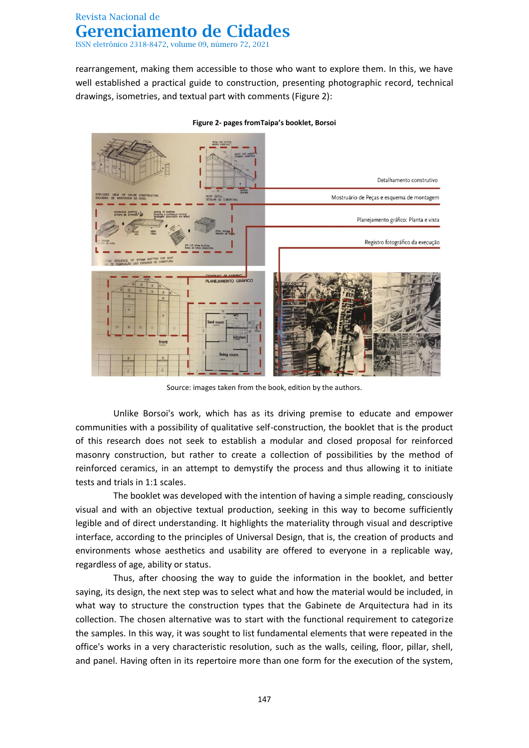rearrangement, making them accessible to those who want to explore them. In this, we have well established a practical guide to construction, presenting photographic record, technical drawings, isometries, and textual part with comments (Figure 2):



**Figure 2- pages fromTaipa's booklet, Borsoi**

Source: images taken from the book, edition by the authors.

Unlike Borsoi's work, which has as its driving premise to educate and empower communities with a possibility of qualitative self-construction, the booklet that is the product of this research does not seek to establish a modular and closed proposal for reinforced masonry construction, but rather to create a collection of possibilities by the method of reinforced ceramics, in an attempt to demystify the process and thus allowing it to initiate tests and trials in 1:1 scales.

The booklet was developed with the intention of having a simple reading, consciously visual and with an objective textual production, seeking in this way to become sufficiently legible and of direct understanding. It highlights the materiality through visual and descriptive interface, according to the principles of Universal Design, that is, the creation of products and environments whose aesthetics and usability are offered to everyone in a replicable way, regardless of age, ability or status.

Thus, after choosing the way to guide the information in the booklet, and better saying, its design, the next step was to select what and how the material would be included, in what way to structure the construction types that the Gabinete de Arquitectura had in its collection. The chosen alternative was to start with the functional requirement to categorize the samples. In this way, it was sought to list fundamental elements that were repeated in the office's works in a very characteristic resolution, such as the walls, ceiling, floor, pillar, shell, and panel. Having often in its repertoire more than one form for the execution of the system,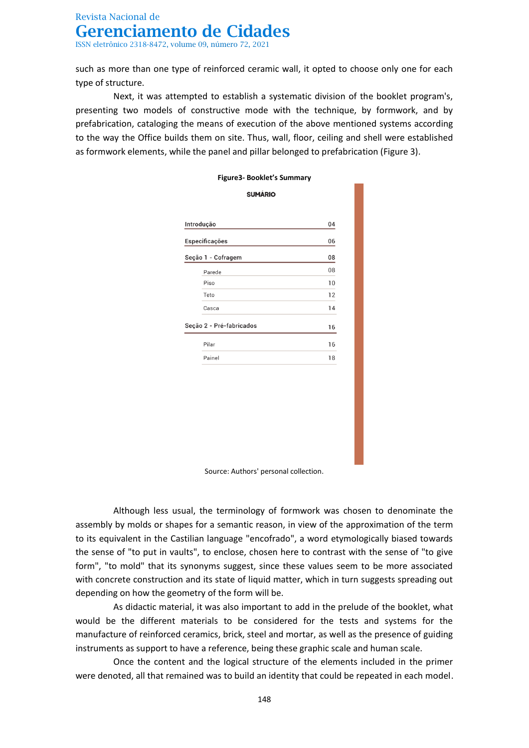such as more than one type of reinforced ceramic wall, it opted to choose only one for each type of structure.

Next, it was attempted to establish a systematic division of the booklet program's, presenting two models of constructive mode with the technique, by formwork, and by prefabrication, cataloging the means of execution of the above mentioned systems according to the way the Office builds them on site. Thus, wall, floor, ceiling and shell were established as formwork elements, while the panel and pillar belonged to prefabrication (Figure 3).

| SUMARIO                  |    |
|--------------------------|----|
|                          |    |
| Introdução               | 04 |
| Especificações           | 06 |
| Seção 1 - Cofragem       | 08 |
| Parede                   | 08 |
| Piso                     | 10 |
| Teto                     | 12 |
| Casca                    | 14 |
| Seção 2 - Pré-fabricados | 16 |
| Pilar                    | 16 |
| Painel                   | 18 |
|                          |    |

### **Figure3- Booklet's Summary**  $\frac{1}{2}$

Source: Authors' personal collection.

Although less usual, the terminology of formwork was chosen to denominate the assembly by molds or shapes for a semantic reason, in view of the approximation of the term to its equivalent in the Castilian language "encofrado", a word etymologically biased towards the sense of "to put in vaults", to enclose, chosen here to contrast with the sense of "to give form", "to mold" that its synonyms suggest, since these values seem to be more associated with concrete construction and its state of liquid matter, which in turn suggests spreading out depending on how the geometry of the form will be.

As didactic material, it was also important to add in the prelude of the booklet, what would be the different materials to be considered for the tests and systems for the manufacture of reinforced ceramics, brick, steel and mortar, as well as the presence of guiding instruments as support to have a reference, being these graphic scale and human scale.

Once the content and the logical structure of the elements included in the primer were denoted, all that remained was to build an identity that could be repeated in each model.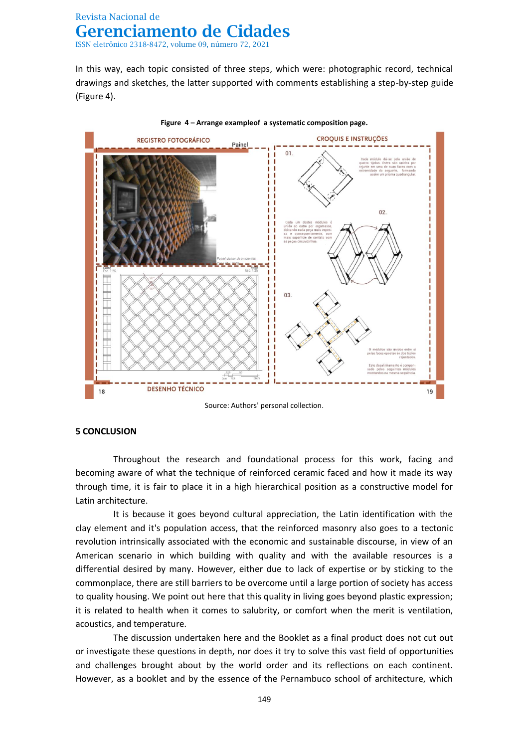In this way, each topic consisted of three steps, which were: photographic record, technical drawings and sketches, the latter supported with comments establishing a step-by-step guide (Figure 4).



**Figure 4 – Arrange exampleof a systematic composition page.**

Source: Authors' personal collection.

### **5 CONCLUSION**

Throughout the research and foundational process for this work, facing and becoming aware of what the technique of reinforced ceramic faced and how it made its way through time, it is fair to place it in a high hierarchical position as a constructive model for Latin architecture.

It is because it goes beyond cultural appreciation, the Latin identification with the clay element and it's population access, that the reinforced masonry also goes to a tectonic revolution intrinsically associated with the economic and sustainable discourse, in view of an American scenario in which building with quality and with the available resources is a differential desired by many. However, either due to lack of expertise or by sticking to the commonplace, there are still barriers to be overcome until a large portion of society has access to quality housing. We point out here that this quality in living goes beyond plastic expression; it is related to health when it comes to salubrity, or comfort when the merit is ventilation, acoustics, and temperature.

The discussion undertaken here and the Booklet as a final product does not cut out or investigate these questions in depth, nor does it try to solve this vast field of opportunities and challenges brought about by the world order and its reflections on each continent. However, as a booklet and by the essence of the Pernambuco school of architecture, which